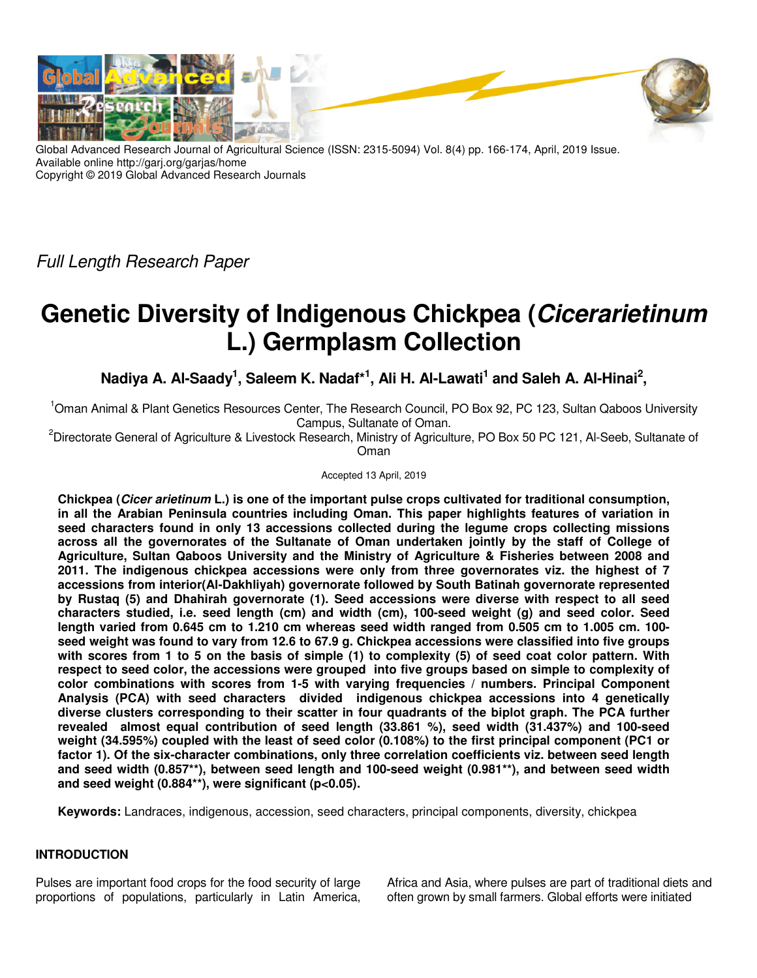

Global Advanced Research Journal of Agricultural Science (ISSN: 2315-5094) Vol. 8(4) pp. 166-174, April, 2019 Issue. Available online http://garj.org/garjas/home Copyright © 2019 Global Advanced Research Journals

Full Length Research Paper

# **Genetic Diversity of Indigenous Chickpea (Cicerarietinum L.) Germplasm Collection**

Nadiya A. Al-Saady<sup>1</sup>, Saleem K. Nadaf\*<sup>1</sup>, Ali H. Al-Lawati<sup>1</sup> and Saleh A. Al-Hinai<sup>2</sup>,

<sup>1</sup>Oman Animal & Plant Genetics Resources Center, The Research Council, PO Box 92, PC 123, Sultan Qaboos University Campus, Sultanate of Oman.

<sup>2</sup>Directorate General of Agriculture & Livestock Research, Ministry of Agriculture, PO Box 50 PC 121, Al-Seeb, Sultanate of Oman

Accepted 13 April, 2019

**Chickpea (Cicer arietinum L.) is one of the important pulse crops cultivated for traditional consumption, in all the Arabian Peninsula countries including Oman. This paper highlights features of variation in seed characters found in only 13 accessions collected during the legume crops collecting missions across all the governorates of the Sultanate of Oman undertaken jointly by the staff of College of Agriculture, Sultan Qaboos University and the Ministry of Agriculture & Fisheries between 2008 and 2011. The indigenous chickpea accessions were only from three governorates viz. the highest of 7 accessions from interior(Al-Dakhliyah) governorate followed by South Batinah governorate represented by Rustaq (5) and Dhahirah governorate (1). Seed accessions were diverse with respect to all seed characters studied, i.e. seed length (cm) and width (cm), 100-seed weight (g) and seed color. Seed length varied from 0.645 cm to 1.210 cm whereas seed width ranged from 0.505 cm to 1.005 cm. 100 seed weight was found to vary from 12.6 to 67.9 g. Chickpea accessions were classified into five groups with scores from 1 to 5 on the basis of simple (1) to complexity (5) of seed coat color pattern. With respect to seed color, the accessions were grouped into five groups based on simple to complexity of color combinations with scores from 1-5 with varying frequencies / numbers. Principal Component Analysis (PCA) with seed characters divided indigenous chickpea accessions into 4 genetically diverse clusters corresponding to their scatter in four quadrants of the biplot graph. The PCA further revealed almost equal contribution of seed length (33.861 %), seed width (31.437%) and 100-seed weight (34.595%) coupled with the least of seed color (0.108%) to the first principal component (PC1 or factor 1). Of the six-character combinations, only three correlation coefficients viz. between seed length and seed width (0.857\*\*), between seed length and 100-seed weight (0.981\*\*), and between seed width and seed weight (0.884\*\*), were significant (p<0.05).** 

**Keywords:** Landraces, indigenous, accession, seed characters, principal components, diversity, chickpea

## **INTRODUCTION**

Pulses are important food crops for the food security of large proportions of populations, particularly in Latin America, Africa and Asia, where pulses are part of traditional diets and often grown by small farmers. Global efforts were initiated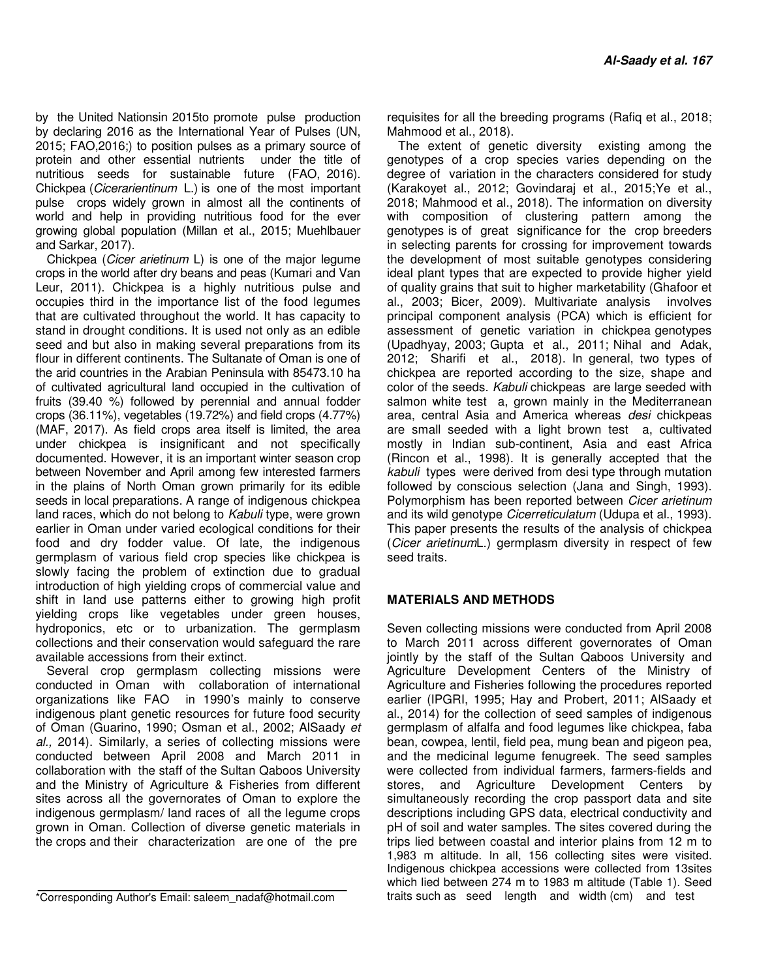by the United Nationsin 2015to promote pulse production by declaring 2016 as the International Year of Pulses (UN, 2015; FAO,2016;) to position pulses as a primary source of protein and other essential nutrients under the title of nutritious seeds for sustainable future (FAO, 2016). Chickpea (Cicerarientinum L.) is one of the most important pulse crops widely grown in almost all the continents of world and help in providing nutritious food for the ever growing global population (Millan et al., 2015; Muehlbauer and Sarkar, 2017).

Chickpea (Cicer arietinum L) is one of the major legume crops in the world after dry beans and peas (Kumari and Van Leur, 2011). Chickpea is a highly nutritious pulse and occupies third in the importance list of the food legumes that are cultivated throughout the world. It has capacity to stand in drought conditions. It is used not only as an edible seed and but also in making several preparations from its flour in different continents. The Sultanate of Oman is one of the arid countries in the Arabian Peninsula with 85473.10 ha of cultivated agricultural land occupied in the cultivation of fruits (39.40 %) followed by perennial and annual fodder crops (36.11%), vegetables (19.72%) and field crops (4.77%) (MAF, 2017). As field crops area itself is limited, the area under chickpea is insignificant and not specifically documented. However, it is an important winter season crop between November and April among few interested farmers in the plains of North Oman grown primarily for its edible seeds in local preparations. A range of indigenous chickpea land races, which do not belong to Kabuli type, were grown earlier in Oman under varied ecological conditions for their food and dry fodder value. Of late, the indigenous germplasm of various field crop species like chickpea is slowly facing the problem of extinction due to gradual introduction of high yielding crops of commercial value and shift in land use patterns either to growing high profit yielding crops like vegetables under green houses, hydroponics, etc or to urbanization. The germplasm collections and their conservation would safeguard the rare available accessions from their extinct.

Several crop germplasm collecting missions were conducted in Oman with collaboration of international organizations like FAO in 1990's mainly to conserve indigenous plant genetic resources for future food security of Oman (Guarino, 1990; Osman et al., 2002; AlSaady et al., 2014). Similarly, a series of collecting missions were conducted between April 2008 and March 2011 in collaboration with the staff of the Sultan Qaboos University and the Ministry of Agriculture & Fisheries from different sites across all the governorates of Oman to explore the indigenous germplasm/ land races of all the legume crops grown in Oman. Collection of diverse genetic materials in the crops and their characterization are one of the pre

\*Corresponding Author's Email: saleem\_nadaf@hotmail.com

requisites for all the breeding programs (Rafiq et al., 2018; Mahmood et al., 2018).

The extent of genetic diversity existing among the genotypes of a crop species varies depending on the degree of variation in the characters considered for study (Karakoyet al., 2012; Govindaraj et al., 2015;Ye et al., 2018; Mahmood et al., 2018). The information on diversity with composition of clustering pattern among the genotypes is of great significance for the crop breeders in selecting parents for crossing for improvement towards the development of most suitable genotypes considering ideal plant types that are expected to provide higher yield of quality grains that suit to higher marketability (Ghafoor et al., 2003; Bicer, 2009). Multivariate analysis involves principal component analysis (PCA) which is efficient for assessment of genetic variation in chickpea genotypes (Upadhyay, 2003; Gupta et al., 2011; Nihal and Adak, 2012; Sharifi et al., 2018). In general, two types of chickpea are reported according to the size, shape and color of the seeds. Kabuli chickpeas are large seeded with salmon white test a, grown mainly in the Mediterranean area, central Asia and America whereas desi chickpeas are small seeded with a light brown test a, cultivated mostly in Indian sub-continent, Asia and east Africa (Rincon et al., 1998). It is generally accepted that the kabuli types were derived from desi type through mutation followed by conscious selection (Jana and Singh, 1993). Polymorphism has been reported between Cicer arietinum and its wild genotype Cicerreticulatum (Udupa et al., 1993). This paper presents the results of the analysis of chickpea (Cicer arietinumL.) germplasm diversity in respect of few seed traits.

#### **MATERIALS AND METHODS**

Seven collecting missions were conducted from April 2008 to March 2011 across different governorates of Oman jointly by the staff of the Sultan Qaboos University and Agriculture Development Centers of the Ministry of Agriculture and Fisheries following the procedures reported earlier (IPGRI, 1995; Hay and Probert, 2011; AlSaady et al., 2014) for the collection of seed samples of indigenous germplasm of alfalfa and food legumes like chickpea, faba bean, cowpea, lentil, field pea, mung bean and pigeon pea, and the medicinal legume fenugreek. The seed samples were collected from individual farmers, farmers-fields and stores, and Agriculture Development Centers by simultaneously recording the crop passport data and site descriptions including GPS data, electrical conductivity and pH of soil and water samples. The sites covered during the trips lied between coastal and interior plains from 12 m to 1,983 m altitude. In all, 156 collecting sites were visited. Indigenous chickpea accessions were collected from 13sites which lied between 274 m to 1983 m altitude (Table 1). Seed traits such as seed length and width (cm) and test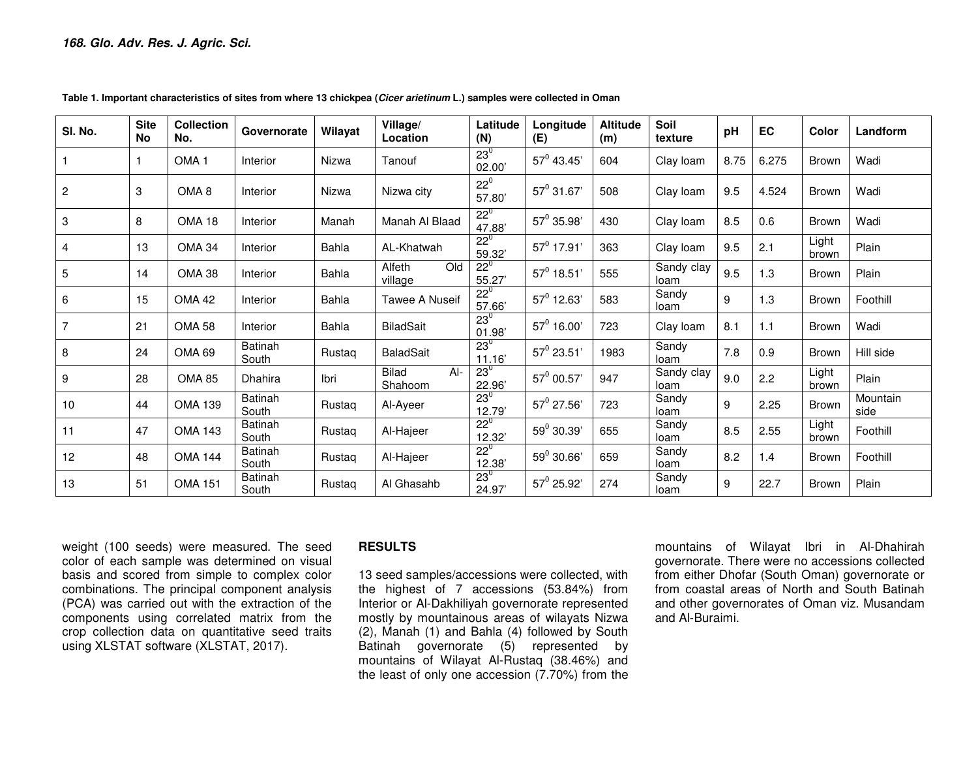| SI. No.        | <b>Site</b><br><b>No</b> | <b>Collection</b><br>No. | Governorate             | Wilayat | Village/<br>Location             | Latitude<br>(N)        | Longitude<br>(E) | <b>Altitude</b><br>(m) | Soil<br>texture    | pH   | EC    | Color          | Landform         |
|----------------|--------------------------|--------------------------|-------------------------|---------|----------------------------------|------------------------|------------------|------------------------|--------------------|------|-------|----------------|------------------|
|                |                          | OMA <sub>1</sub>         | Interior                | Nizwa   | Tanouf                           | $23^{\circ}$<br>02.00  | $57^0$ 43.45'    | 604                    | Clay loam          | 8.75 | 6.275 | <b>Brown</b>   | Wadi             |
| $\overline{c}$ | 3                        | OMA <sub>8</sub>         | Interior                | Nizwa   | Nizwa city                       | $22^0$<br>57.80        | $57^0$ 31.67     | 508                    | Clay loam          | 9.5  | 4.524 | <b>Brown</b>   | Wadi             |
| 3              | 8                        | <b>OMA 18</b>            | Interior                | Manah   | Manah Al Blaad                   | $22^{\circ}$<br>47.88' | $57^0$ 35.98'    | 430                    | Clay loam          | 8.5  | 0.6   | Brown          | Wadi             |
| 4              | 13                       | <b>OMA 34</b>            | Interior                | Bahla   | AL-Khatwah                       | $22^{\circ}$<br>59.32  | $57^0$ 17.91'    | 363                    | Clay loam          | 9.5  | 2.1   | Light<br>brown | Plain            |
| 5              | 14                       | <b>OMA 38</b>            | Interior                | Bahla   | Alfeth<br>Old<br>village         | $22^{\circ}$<br>55.27  | $57^0$ 18.51'    | 555                    | Sandy clay<br>loam | 9.5  | 1.3   | Brown          | Plain            |
| 6              | 15                       | <b>OMA 42</b>            | Interior                | Bahla   | <b>Tawee A Nuseif</b>            | $22^{0}$<br>57.66      | $57^0$ 12.63'    | 583                    | Sandy<br>loam      | 9    | 1.3   | Brown          | Foothill         |
|                | 21                       | <b>OMA 58</b>            | Interior                | Bahla   | <b>BiladSait</b>                 | $23^0$<br>01.98'       | $57^0$ 16.00'    | 723                    | Clay loam          | 8.1  | 1.1   | Brown          | Wadi             |
| 8              | 24                       | OMA <sub>69</sub>        | <b>Batinah</b><br>South | Rustaq  | <b>BaladSait</b>                 | $23^{\circ}$<br>11.16' | $57^0$ 23.51'    | 1983                   | Sandy<br>loam      | 7.8  | 0.9   | Brown          | Hill side        |
| 9              | 28                       | <b>OMA 85</b>            | Dhahira                 | Ibri    | <b>Bilad</b><br>$Al-$<br>Shahoom | $23^\circ$<br>22.96    | $57^0$ 00.57'    | 947                    | Sandy clay<br>loam | 9.0  | 2.2   | Light<br>brown | Plain            |
| 10             | 44                       | <b>OMA 139</b>           | Batinah<br>South        | Rustag  | Al-Ayeer                         | $23^{0}$<br>12.79      | $57^0$ 27.56     | 723                    | Sandy<br>loam      | 9    | 2.25  | Brown          | Mountain<br>side |
| 11             | 47                       | <b>OMA 143</b>           | Batinah<br>South        | Rustag  | Al-Hajeer                        | $22^{0}$<br>12.32      | $59^0$ 30.39'    | 655                    | Sandy<br>loam      | 8.5  | 2.55  | Light<br>brown | Foothill         |
| 12             | 48                       | <b>OMA 144</b>           | Batinah<br>South        | Rustag  | Al-Hajeer                        | $22^{\circ}$<br>12.38  | $59^0$ 30.66'    | 659                    | Sandy<br>loam      | 8.2  | 1.4   | <b>Brown</b>   | Foothill         |
| 13             | 51                       | <b>OMA 151</b>           | <b>Batinah</b><br>South | Rustag  | Al Ghasahb                       | $23^{0}$<br>24.97'     | $57^0$ 25.92'    | 274                    | Sandy<br>loam      | 9    | 22.7  | Brown          | Plain            |

**Table 1. Important characteristics of sites from where 13 chickpea (Cicer arietinum L.) samples were collected in Oman** 

weight (100 seeds) were measured. The seed color of each sample was determined on visual basis and scored from simple to complex color combinations. The principal component analysis (PCA) was carried out with the extraction of the components using correlated matrix from the crop collection data on quantitative seed traits using XLSTAT software (XLSTAT, 2017).

### **RESULTS**

13 seed samples/accessions were collected, with the highest of 7 accessions (53.84%) from Interior or Al-Dakhiliyah governorate represented mostly by mountainous areas of wilayats Nizwa (2), Manah (1) and Bahla (4) followed by South Batinah governorate (5) represented by mountains of Wilayat Al-Rustaq (38.46%) and the least of only one accession (7.70%) from the mountains of Wilayat Ibri in Al-Dhahirah governorate. There were no accessions collected from either Dhofar (South Oman) governorate or from coastal areas of North and South Batinah and other governorates of Oman viz. Musandam and Al-Buraimi.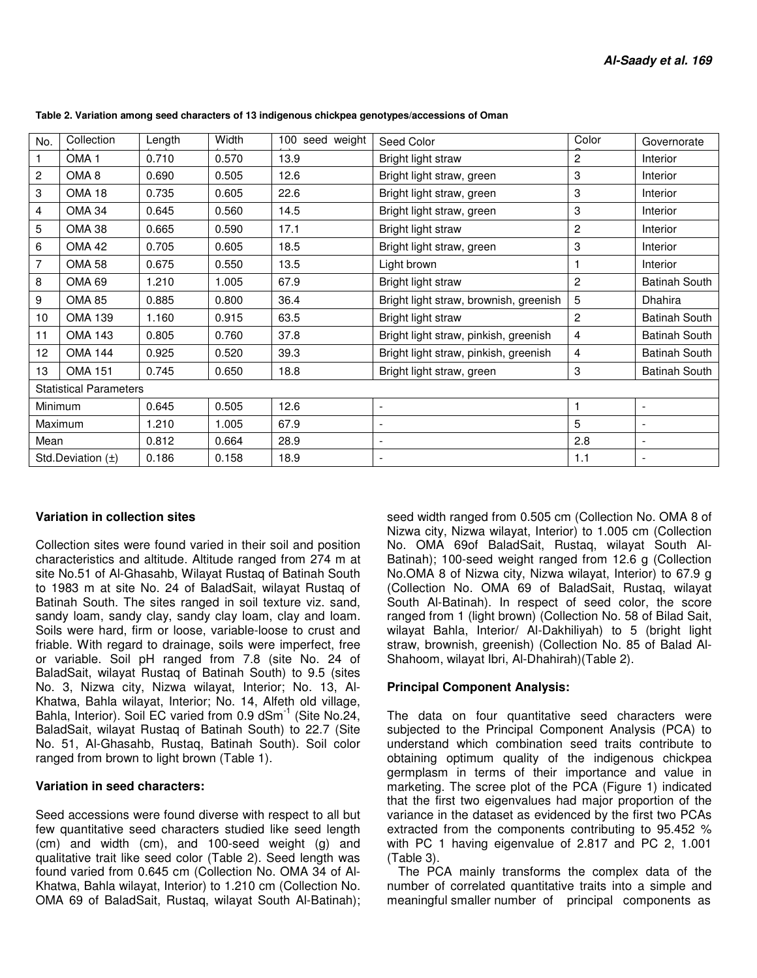| No.                   | Collection                    | Length | Width | 100 seed weight | Seed Color                             | Color          | Governorate              |  |
|-----------------------|-------------------------------|--------|-------|-----------------|----------------------------------------|----------------|--------------------------|--|
|                       | OMA <sub>1</sub>              | 0.710  | 0.570 | 13.9            | Bright light straw                     | $\overline{c}$ | <b>Interior</b>          |  |
| $\overline{c}$        | OMA <sub>8</sub>              | 0.690  | 0.505 | 12.6            | Bright light straw, green              | 3              | Interior                 |  |
| 3                     | OMA <sub>18</sub>             | 0.735  | 0.605 | 22.6            | Bright light straw, green              | 3              | Interior                 |  |
| 4                     | <b>OMA 34</b>                 | 0.645  | 0.560 | 14.5            | Bright light straw, green              | 3              | <b>Interior</b>          |  |
| 5                     | <b>OMA 38</b>                 | 0.665  | 0.590 | 17.1            | Bright light straw                     | $\overline{c}$ | Interior                 |  |
| 6                     | <b>OMA 42</b>                 | 0.705  | 0.605 | 18.5            | Bright light straw, green              | 3              | Interior                 |  |
| 7                     | <b>OMA 58</b>                 | 0.675  | 0.550 | 13.5            | Light brown                            |                | Interior                 |  |
| 8                     | OMA 69                        | 1.210  | 1.005 | 67.9            | Bright light straw                     | 2              | <b>Batinah South</b>     |  |
| 9                     | <b>OMA 85</b>                 | 0.885  | 0.800 | 36.4            | Bright light straw, brownish, greenish | 5              | Dhahira                  |  |
| 10                    | <b>OMA 139</b>                | 1.160  | 0.915 | 63.5            | Bright light straw                     | 2              | <b>Batinah South</b>     |  |
| 11                    | <b>OMA 143</b>                | 0.805  | 0.760 | 37.8            | Bright light straw, pinkish, greenish  | $\overline{4}$ | <b>Batinah South</b>     |  |
| 12                    | <b>OMA 144</b>                | 0.925  | 0.520 | 39.3            | Bright light straw, pinkish, greenish  | 4              | <b>Batinah South</b>     |  |
| 13                    | <b>OMA 151</b>                | 0.745  | 0.650 | 18.8            | Bright light straw, green              | 3              | <b>Batinah South</b>     |  |
|                       | <b>Statistical Parameters</b> |        |       |                 |                                        |                |                          |  |
| Minimum               |                               | 0.645  | 0.505 | 12.6            | $\overline{\phantom{a}}$               |                | $\overline{\phantom{a}}$ |  |
| Maximum               |                               | 1.210  | 1.005 | 67.9            | $\overline{\phantom{a}}$               | 5              | $\overline{\phantom{a}}$ |  |
| Mean                  |                               | 0.812  | 0.664 | 28.9            | -                                      | 2.8            | $\overline{\phantom{a}}$ |  |
| Std.Deviation $(\pm)$ |                               | 0.186  | 0.158 | 18.9            |                                        | 1.1            |                          |  |

**Table 2. Variation among seed characters of 13 indigenous chickpea genotypes/accessions of Oman** 

#### **Variation in collection sites**

Collection sites were found varied in their soil and position characteristics and altitude. Altitude ranged from 274 m at site No.51 of Al-Ghasahb, Wilayat Rustaq of Batinah South to 1983 m at site No. 24 of BaladSait, wilayat Rustaq of Batinah South. The sites ranged in soil texture viz. sand, sandy loam, sandy clay, sandy clay loam, clay and loam. Soils were hard, firm or loose, variable-loose to crust and friable. With regard to drainage, soils were imperfect, free or variable. Soil pH ranged from 7.8 (site No. 24 of BaladSait, wilayat Rustaq of Batinah South) to 9.5 (sites No. 3, Nizwa city, Nizwa wilayat, Interior; No. 13, Al-Khatwa, Bahla wilayat, Interior; No. 14, Alfeth old village, Bahla, Interior). Soil EC varied from 0.9 dSm<sup>-1</sup> (Site No.24, BaladSait, wilayat Rustaq of Batinah South) to 22.7 (Site No. 51, Al-Ghasahb, Rustaq, Batinah South). Soil color ranged from brown to light brown (Table 1).

#### **Variation in seed characters:**

Seed accessions were found diverse with respect to all but few quantitative seed characters studied like seed length (cm) and width (cm), and 100-seed weight (g) and qualitative trait like seed color (Table 2). Seed length was found varied from 0.645 cm (Collection No. OMA 34 of Al-Khatwa, Bahla wilayat, Interior) to 1.210 cm (Collection No. OMA 69 of BaladSait, Rustaq, wilayat South Al-Batinah);

seed width ranged from 0.505 cm (Collection No. OMA 8 of Nizwa city, Nizwa wilayat, Interior) to 1.005 cm (Collection No. OMA 69of BaladSait, Rustaq, wilayat South Al-Batinah); 100-seed weight ranged from 12.6 g (Collection No.OMA 8 of Nizwa city, Nizwa wilayat, Interior) to 67.9 g (Collection No. OMA 69 of BaladSait, Rustaq, wilayat South Al-Batinah). In respect of seed color, the score ranged from 1 (light brown) (Collection No. 58 of Bilad Sait, wilayat Bahla, Interior/ Al-Dakhiliyah) to 5 (bright light straw, brownish, greenish) (Collection No. 85 of Balad Al-Shahoom, wilayat Ibri, Al-Dhahirah)(Table 2).

#### **Principal Component Analysis:**

The data on four quantitative seed characters were subjected to the Principal Component Analysis (PCA) to understand which combination seed traits contribute to obtaining optimum quality of the indigenous chickpea germplasm in terms of their importance and value in marketing. The scree plot of the PCA (Figure 1) indicated that the first two eigenvalues had major proportion of the variance in the dataset as evidenced by the first two PCAs extracted from the components contributing to 95.452 % with PC 1 having eigenvalue of 2.817 and PC 2, 1.001 (Table 3).

The PCA mainly transforms the complex data of the number of correlated quantitative traits into a simple and meaningful smaller number of principal components as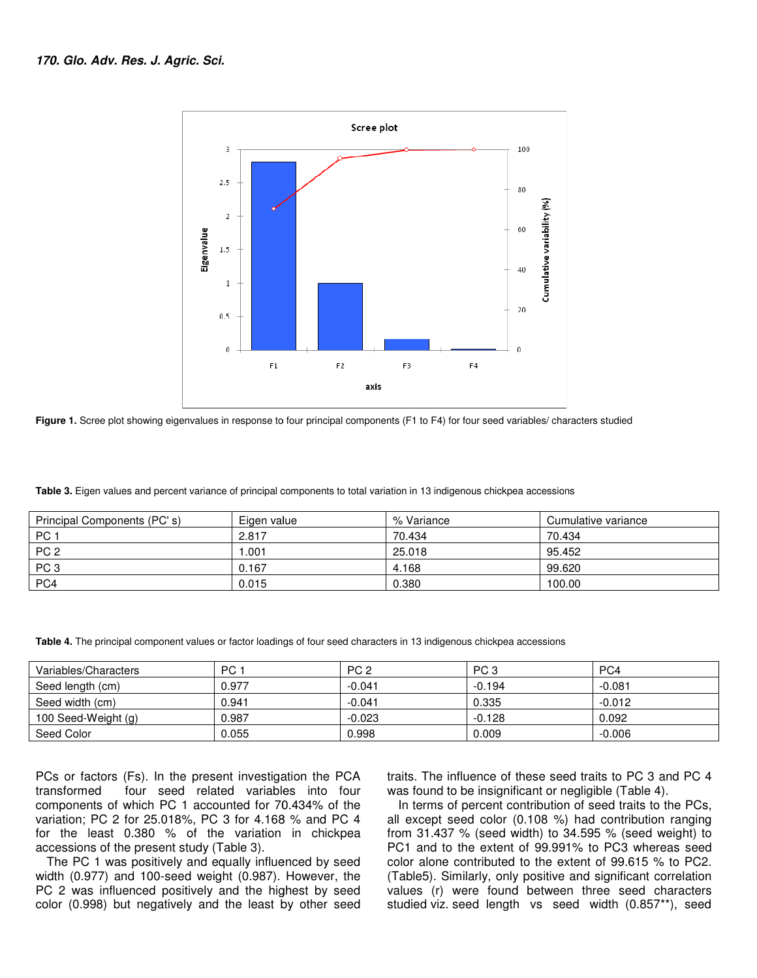

Figure 1. Scree plot showing eigenvalues in response to four principal components (F1 to F4) for four seed variables/ characters studied

Table 3. Eigen values and percent variance of principal components to total variation in 13 indigenous chickpea accessions

| Principal Components (PC's) | Eigen value | % Variance | Cumulative variance |
|-----------------------------|-------------|------------|---------------------|
| PC <sub>1</sub>             | 2.817       | 70.434     | 70.434              |
| PC <sub>2</sub>             | .001        | 25.018     | 95.452              |
| PC <sub>3</sub>             | 0.167       | 4.168      | 99.620              |
| PC4                         | 0.015       | 0.380      | 100.00              |

Table 4. The principal component values or factor loadings of four seed characters in 13 indigenous chickpea accessions

| Variables/Characters | PC 1  | PC <sub>2</sub> | PC <sub>3</sub> | PC4      |
|----------------------|-------|-----------------|-----------------|----------|
| Seed length (cm)     | 0.977 | $-0.041$        | $-0.194$        | $-0.081$ |
| Seed width (cm)      | 0.941 | $-0.041$        | 0.335           | $-0.012$ |
| 100 Seed-Weight (g)  | 0.987 | $-0.023$        | $-0.128$        | 0.092    |
| Seed Color           | 0.055 | 0.998           | 0.009           | $-0.006$ |

PCs or factors (Fs). In the present investigation the PCA transformed four seed related variables into four components of which PC 1 accounted for 70.434% of the variation; PC 2 for 25.018%, PC 3 for 4.168 % and PC 4 for the least 0.380 % of the variation in chickpea accessions of the present study (Table 3).

The PC 1 was positively and equally influenced by seed width (0.977) and 100-seed weight (0.987). However, the PC 2 was influenced positively and the highest by seed color (0.998) but negatively and the least by other seed traits. The influence of these seed traits to PC 3 and PC 4<br>was found to be insignificant or negligible (Table 4).

PCs or factors (Fs). In the present investigation the PCA traits. The influence of these seed traits to PC 3 and PC 4 transformed four seed related variables into four was found to be insignificant or negligible (Table 4). In terms of percent contribution of seed traits to the PCs, all except seed color (0.108 %) had contribution ranging from  $31.437$  % (seed width) to  $34.595$  % (seed weight) to PC1 and to the extent of 99.991% to PC3 whereas seed color alone contributed to the extent of 99.615 % to PC2. (Table5). Similarly, only positive and significant correlation values (r) were found between three seed characters studied viz. seed length vs seed width (0.857\*\*), seed of percent contribution of seed traits to the PCs,<br>seed color (0.108 %) had contribution ranging<br>7 % (seed width) to 34.595 % (seed weight) to nd to the extent of 99.991% to PC3 whereas seed<br>alone contributed to the extent of 99.615 % to PC2.<br>5). Similarly, only positive and significant correlation<br>(r) were found between three seed characters<br>d viz. seed length v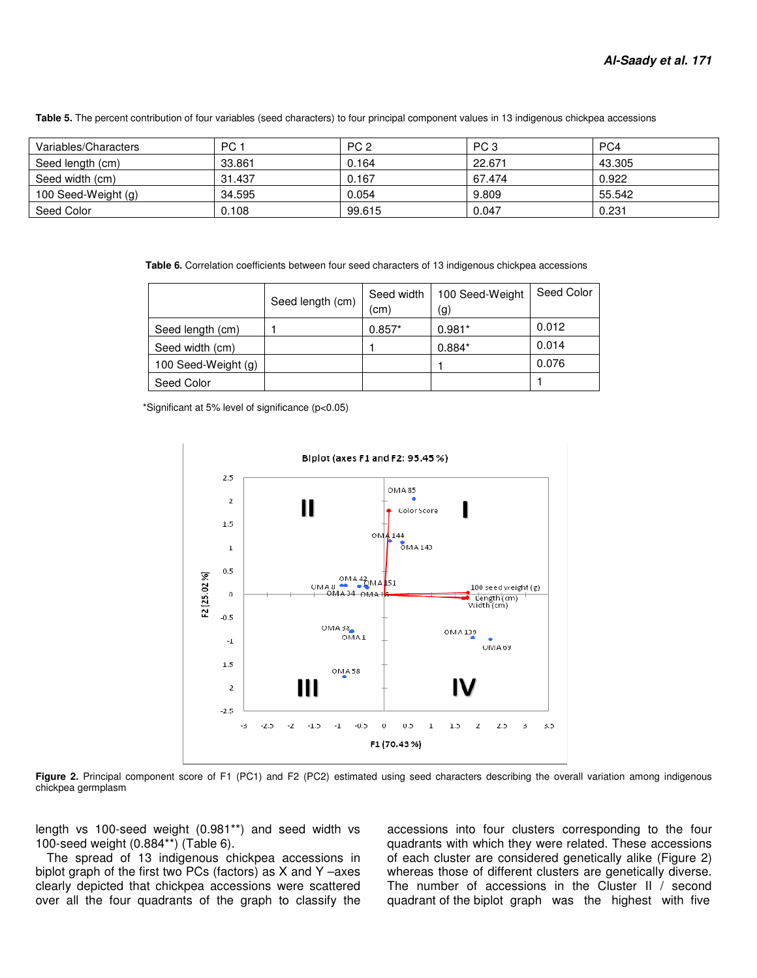Table 5. The percent contribution of four variables (seed characters) to four principal component values in 13 indigenous chickpea accessions

| Variables/Characters | PC 1   | PC <sub>2</sub> | PC <sub>3</sub> | PC4    |
|----------------------|--------|-----------------|-----------------|--------|
| Seed length (cm)     | 33.861 | 0.164           | 22.671          | 43.305 |
| Seed width (cm)      | 31.437 | 0.167           | 67.474          | 0.922  |
| 100 Seed-Weight (g)  | 34.595 | 0.054           | 9.809           | 55.542 |
| Seed Color           | 0.108  | 99.615          | 0.047           | 0.231  |

**Table 6.** Correlation coefficients between four seed characters of 13 indigenous chickpea accessions

|                     |                  | Seed width | 100 Seed-Weight | Seed Color |
|---------------------|------------------|------------|-----------------|------------|
|                     | Seed length (cm) | (cm)       | (g)             |            |
| Seed length (cm)    |                  | $0.857*$   | $0.981*$        | 0.012      |
| Seed width (cm)     |                  |            | $0.884*$        | 0.014      |
| 100 Seed-Weight (g) |                  |            |                 | 0.076      |
| Seed Color          |                  |            |                 |            |

\*Significant at 5% level of significance (p<0.05)



Figure 2. Principal component score of F1 (PC1) and F2 (PC2) estimated using seed characters describing the overall variation among indigenous chickpea germplasm

length vs 100-seed weight (0.981\*\*) and seed width vs 100-seed weight (0.884\*\*) (Table 6).

The spread of 13 indigenous chickpea accessions in length vs 100-seed weight  $(0.981**)$  and seed width vs 100-seed weight  $(0.884**)$  (Table 6).<br>The spread of 13 indigenous chickpea accessions in biplot graph of the first two PCs (factors) as X and Y -axes clearly depicted that chickpea accessions were scattered over all the four quadrants of the graph to classify the

0.981\*\*) and seed width vs accessions into four clusters corresponding to ble 6).  $\qquad$  quadrants with which they were related. These a ous chickpea accessions in of each cluster are considered genetically alike  $\sim$ S (fa quadrants with which they were related. These accessions of each cluster are considered genetically alike (Figure 2) whereas those of different clusters are genetically diverse. The number of accessions in the Cluster II / second whereas those of different clusters are genetically diverse.<br>The number of accessions in the Cluster II / second<br>quadrant of the biplot graph was the highest with five accessions into four clusters corresponding to the four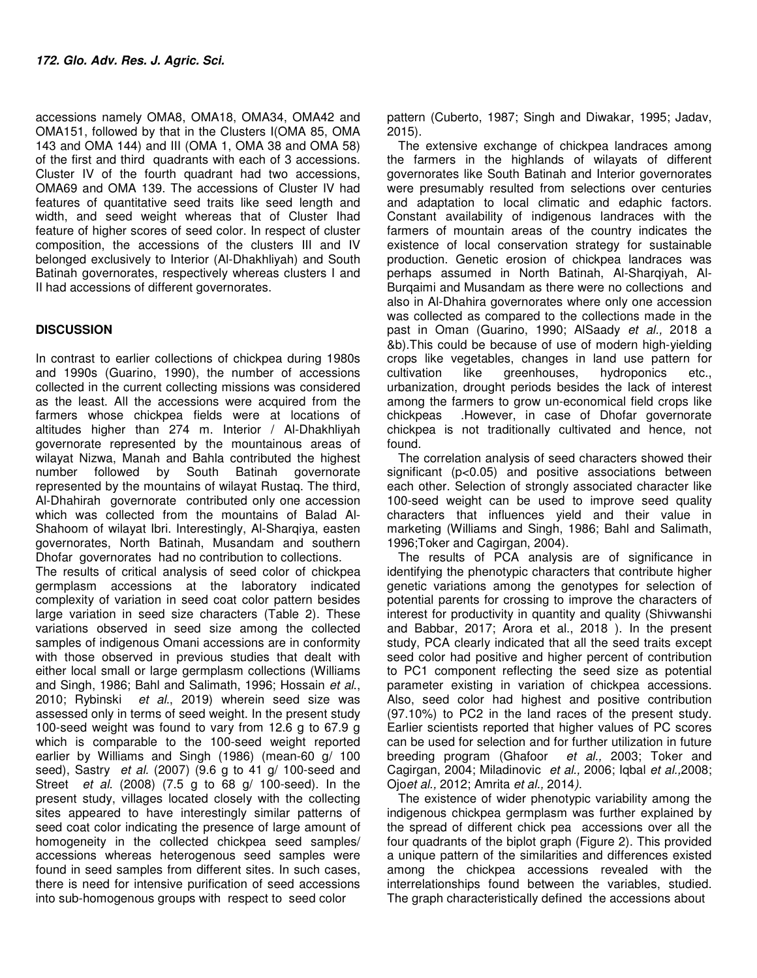accessions namely OMA8, OMA18, OMA34, OMA42 and OMA151, followed by that in the Clusters I(OMA 85, OMA 143 and OMA 144) and III (OMA 1, OMA 38 and OMA 58) of the first and third quadrants with each of 3 accessions. Cluster IV of the fourth quadrant had two accessions, OMA69 and OMA 139. The accessions of Cluster IV had features of quantitative seed traits like seed length and width, and seed weight whereas that of Cluster Ihad feature of higher scores of seed color. In respect of cluster composition, the accessions of the clusters III and IV belonged exclusively to Interior (Al-Dhakhliyah) and South Batinah governorates, respectively whereas clusters I and II had accessions of different governorates.

## **DISCUSSION**

In contrast to earlier collections of chickpea during 1980s and 1990s (Guarino, 1990), the number of accessions collected in the current collecting missions was considered as the least. All the accessions were acquired from the farmers whose chickpea fields were at locations of altitudes higher than 274 m. Interior / Al-Dhakhliyah governorate represented by the mountainous areas of wilayat Nizwa, Manah and Bahla contributed the highest number followed by South Batinah governorate represented by the mountains of wilayat Rustaq. The third, Al-Dhahirah governorate contributed only one accession which was collected from the mountains of Balad Al-Shahoom of wilayat Ibri. Interestingly, Al-Sharqiya, easten governorates, North Batinah, Musandam and southern Dhofar governorates had no contribution to collections. The results of critical analysis of seed color of chickpea germplasm accessions at the laboratory indicated complexity of variation in seed coat color pattern besides large variation in seed size characters (Table 2). These variations observed in seed size among the collected samples of indigenous Omani accessions are in conformity with those observed in previous studies that dealt with either local small or large germplasm collections (Williams and Singh, 1986; Bahl and Salimath, 1996; Hossain et al., 2010; Rybinski et al., 2019) wherein seed size was assessed only in terms of seed weight. In the present study 100-seed weight was found to vary from 12.6 g to 67.9 g which is comparable to the 100-seed weight reported earlier by Williams and Singh (1986) (mean-60 g/ 100 seed), Sastry et al. (2007) (9.6 g to 41 g/ 100-seed and Street et al. (2008) (7.5 g to 68 g/ 100-seed). In the present study, villages located closely with the collecting sites appeared to have interestingly similar patterns of seed coat color indicating the presence of large amount of homogeneity in the collected chickpea seed samples/ accessions whereas heterogenous seed samples were found in seed samples from different sites. In such cases, there is need for intensive purification of seed accessions into sub-homogenous groups with respect to seed color

pattern (Cuberto, 1987; Singh and Diwakar, 1995; Jadav, 2015).

The extensive exchange of chickpea landraces among the farmers in the highlands of wilayats of different governorates like South Batinah and Interior governorates were presumably resulted from selections over centuries and adaptation to local climatic and edaphic factors. Constant availability of indigenous landraces with the farmers of mountain areas of the country indicates the existence of local conservation strategy for sustainable production. Genetic erosion of chickpea landraces was perhaps assumed in North Batinah, Al-Sharqiyah, Al-Burqaimi and Musandam as there were no collections and also in Al-Dhahira governorates where only one accession was collected as compared to the collections made in the past in Oman (Guarino, 1990; AlSaady et al., 2018 a &b).This could be because of use of modern high-yielding crops like vegetables, changes in land use pattern for cultivation like greenhouses, hydroponics etc., urbanization, drought periods besides the lack of interest among the farmers to grow un-economical field crops like chickpeas .However, in case of Dhofar governorate chickpea is not traditionally cultivated and hence, not found.

The correlation analysis of seed characters showed their significant (p<0.05) and positive associations between each other. Selection of strongly associated character like 100-seed weight can be used to improve seed quality characters that influences yield and their value in marketing (Williams and Singh, 1986; Bahl and Salimath, 1996;Toker and Cagirgan, 2004).

The results of PCA analysis are of significance in identifying the phenotypic characters that contribute higher genetic variations among the genotypes for selection of potential parents for crossing to improve the characters of interest for productivity in quantity and quality (Shivwanshi and Babbar, 2017; Arora et al., 2018 ). In the present study, PCA clearly indicated that all the seed traits except seed color had positive and higher percent of contribution to PC1 component reflecting the seed size as potential parameter existing in variation of chickpea accessions. Also, seed color had highest and positive contribution (97.10%) to PC2 in the land races of the present study. Earlier scientists reported that higher values of PC scores can be used for selection and for further utilization in future breeding program (Ghafoor et al., 2003; Toker and Cagirgan, 2004; Miladinovic et al., 2006; Iqbal et al.,2008; Ojoet al., 2012; Amrita et al., 2014).

The existence of wider phenotypic variability among the indigenous chickpea germplasm was further explained by the spread of different chick pea accessions over all the four quadrants of the biplot graph (Figure 2). This provided a unique pattern of the similarities and differences existed among the chickpea accessions revealed with the interrelationships found between the variables, studied. The graph characteristically defined the accessions about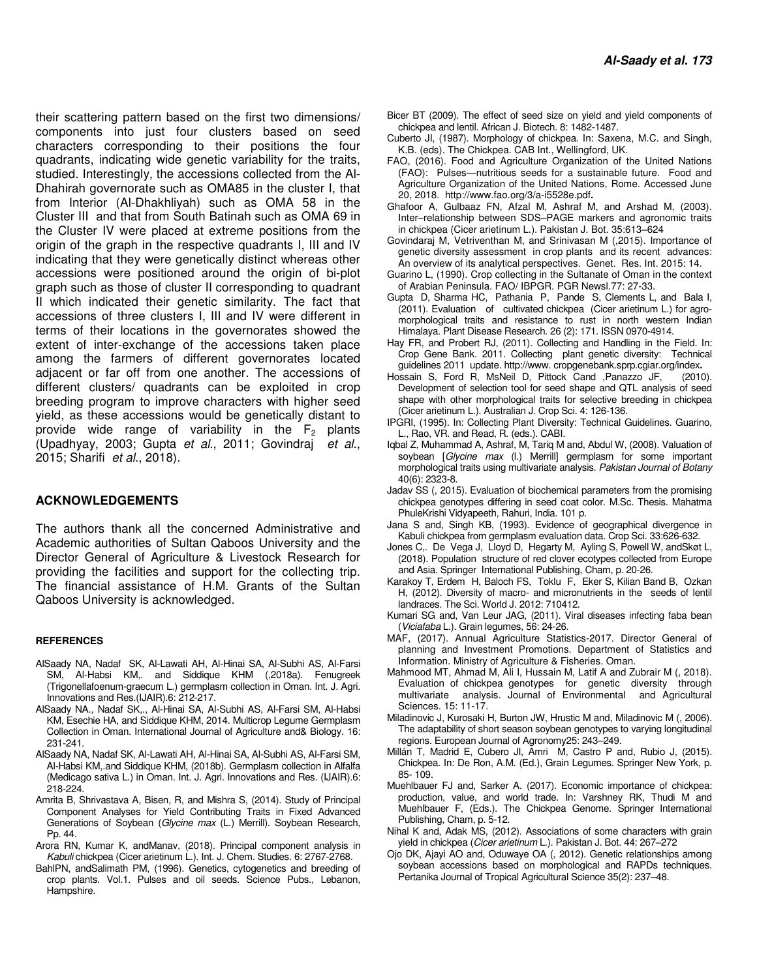their scattering pattern based on the first two dimensions/ components into just four clusters based on seed characters corresponding to their positions the four quadrants, indicating wide genetic variability for the traits, studied. Interestingly, the accessions collected from the Al-Dhahirah governorate such as OMA85 in the cluster I, that from Interior (Al-Dhakhliyah) such as OMA 58 in the Cluster III and that from South Batinah such as OMA 69 in the Cluster IV were placed at extreme positions from the origin of the graph in the respective quadrants I, III and IV indicating that they were genetically distinct whereas other accessions were positioned around the origin of bi-plot graph such as those of cluster II corresponding to quadrant II which indicated their genetic similarity. The fact that accessions of three clusters I, III and IV were different in terms of their locations in the governorates showed the extent of inter-exchange of the accessions taken place among the farmers of different governorates located adjacent or far off from one another. The accessions of different clusters/ quadrants can be exploited in crop breeding program to improve characters with higher seed yield, as these accessions would be genetically distant to provide wide range of variability in the  $F<sub>2</sub>$  plants (Upadhyay, 2003; Gupta et al., 2011; Govindraj et al., 2015; Sharifi et al., 2018).

#### **ACKNOWLEDGEMENTS**

The authors thank all the concerned Administrative and Academic authorities of Sultan Qaboos University and the Director General of Agriculture & Livestock Research for providing the facilities and support for the collecting trip. The financial assistance of H.M. Grants of the Sultan Qaboos University is acknowledged.

#### **REFERENCES**

- AlSaady NA, Nadaf SK, Al-Lawati AH, Al-Hinai SA, Al-Subhi AS, Al-Farsi SM, Al-Habsi KM,. and Siddique KHM (,2018a). Fenugreek (Trigonellafoenum-graecum L.) germplasm collection in Oman. Int. J. Agri. Innovations and Res.(IJAIR).6: 212-217.
- AlSaady NA., Nadaf SK,., Al-Hinai SA, Al-Subhi AS, Al-Farsi SM, Al-Habsi KM, Esechie HA, and Siddique KHM, 2014. Multicrop Legume Germplasm Collection in Oman. International Journal of Agriculture and& Biology. 16: 231-241.
- AlSaady NA, Nadaf SK, Al-Lawati AH, Al-Hinai SA, Al-Subhi AS, Al-Farsi SM, Al-Habsi KM,.and Siddique KHM, (2018b). Germplasm collection in Alfalfa (Medicago sativa L.) in Oman. Int. J. Agri. Innovations and Res. (IJAIR).6: 218-224.
- Amrita B, Shrivastava A, Bisen, R, and Mishra S, (2014). Study of Principal Component Analyses for Yield Contributing Traits in Fixed Advanced Generations of Soybean (Glycine max (L.) Merrill). Soybean Research, Pp. 44.
- Arora RN, Kumar K, andManav, (2018). Principal component analysis in Kabuli chickpea (Cicer arietinum L.). Int. J. Chem. Studies. 6: 2767-2768.
- BahlPN, andSalimath PM, (1996). Genetics, cytogenetics and breeding of crop plants. Vol.1. Pulses and oil seeds. Science Pubs., Lebanon, Hampshire.
- Bicer BT (2009). The effect of seed size on yield and yield components of chickpea and lentil. African J. Biotech. 8: 1482-1487.
- Cuberto JI, (1987). Morphology of chickpea. In: Saxena, M.C. and Singh, K.B. (eds). The Chickpea. CAB Int., Wellingford, UK.
- FAO, (2016). Food and Agriculture Organization of the United Nations (FAO): Pulses—nutritious seeds for a sustainable future. Food and Agriculture Organization of the United Nations, Rome. Accessed June 20, 2018. http://www.fao.org/3/a-i5528e.pdf**.**
- Ghafoor A, Gulbaaz FN, Afzal M, Ashraf M, and Arshad M, (2003). Inter-relationship between SDS-PAGE markers and agronomic traits in chickpea (Cicer arietinum L.). Pakistan J. Bot. 35:613‒624
- Govindaraj M, Vetriventhan M, and Srinivasan M (,2015). Importance of genetic diversity assessment in crop plants and its recent advances: An overview of its analytical perspectives. Genet. Res. Int. 2015: 14.
- Guarino L, (1990). Crop collecting in the Sultanate of Oman in the context of Arabian Peninsula. FAO/ IBPGR. PGR Newsl.77: 27-33.
- Gupta D, Sharma HC, Pathania P, Pande S, Clements L, and Bala I, (2011). Evaluation of cultivated chickpea (Cicer arietinum L.) for agromorphological traits and resistance to rust in north western Indian Himalaya. Plant Disease Research. 26 (2): 171. ISSN 0970-4914.
- Hay FR, and Probert RJ, (2011). Collecting and Handling in the Field. In: Crop Gene Bank. 2011. Collecting plant genetic diversity: Technical guidelines 2011 update. http://www. cropgenebank.sprp.cgiar.org/index**.**
- Hossain S, Ford R, MsNeil D, Pittock Cand ,Panazzo JF, (2010). Development of selection tool for seed shape and QTL analysis of seed shape with other morphological traits for selective breeding in chickpea (Cicer arietinum L.). Australian J. Crop Sci. 4: 126-136.
- IPGRI, (1995). In: Collecting Plant Diversity: Technical Guidelines. Guarino, L., Rao, VR. and Read, R. (eds.). CABI.
- Iqbal Z, Muhammad A, Ashraf, M, Tariq M and, Abdul W, (2008). Valuation of soybean [Glycine max (I.) Merrill] germplasm for some important morphological traits using multivariate analysis. Pakistan Journal of Botany 40(6): 2323-8.
- Jadav SS (, 2015). Evaluation of biochemical parameters from the promising chickpea genotypes differing in seed coat color. M.Sc. Thesis. Mahatma PhuleKrishi Vidyapeeth, Rahuri, India. 101 p.
- Jana S and, Singh KB, (1993). Evidence of geographical divergence in Kabuli chickpea from germplasm evaluation data. Crop Sci. 33:626-632.
- Jones C,. De Vega J, Lloyd D, Hegarty M, Ayling S, Powell W, andSkøt L, (2018). Population structure of red clover ecotypes collected from Europe and Asia. Springer International Publishing, Cham, p. 20-26.
- Karakoy T, Erdem H, Baloch FS, Toklu F, Eker S, Kilian Band B, Ozkan H, (2012). Diversity of macro- and micronutrients in the seeds of lentil landraces. The Sci. World J. 2012: 710412.
- Kumari SG and, Van Leur JAG, (2011). Viral diseases infecting faba bean (Viciafaba L.). Grain legumes, 56: 24-26.
- MAF, (2017). Annual Agriculture Statistics-2017. Director General of planning and Investment Promotions. Department of Statistics and Information. Ministry of Agriculture & Fisheries. Oman.
- Mahmood MT, Ahmad M, Ali I, Hussain M, Latif A and Zubrair M (, 2018). Evaluation of chickpea genotypes for genetic diversity through multivariate analysis. Journal of Environmental and Agricultural Sciences. 15: 11-17.
- Miladinovic J, Kurosaki H, Burton JW, Hrustic M and, Miladinovic M (, 2006). The adaptability of short season soybean genotypes to varying longitudinal regions. European Journal of Agronomy25: 243–249.
- Millán T, Madrid E, Cubero JI, Amri M, Castro P and, Rubio J, (2015). Chickpea. In: De Ron, A.M. (Ed.), Grain Legumes. Springer New York, p. 85- 109.
- Muehlbauer FJ and, Sarker A. (2017). Economic importance of chickpea: production, value, and world trade. In: Varshney RK, Thudi M and Muehlbauer F, (Eds.). The Chickpea Genome. Springer International Publishing, Cham, p. 5-12.
- Nihal K and, Adak MS, (2012). Associations of some characters with grain yield in chickpea (Cicer arietinum L.). Pakistan J. Bot. 44: 267-272
- Ojo DK, Ajayi AO and, Oduwaye OA (, 2012). Genetic relationships among soybean accessions based on morphological and RAPDs techniques. Pertanika Journal of Tropical Agricultural Science 35(2): 237–48.